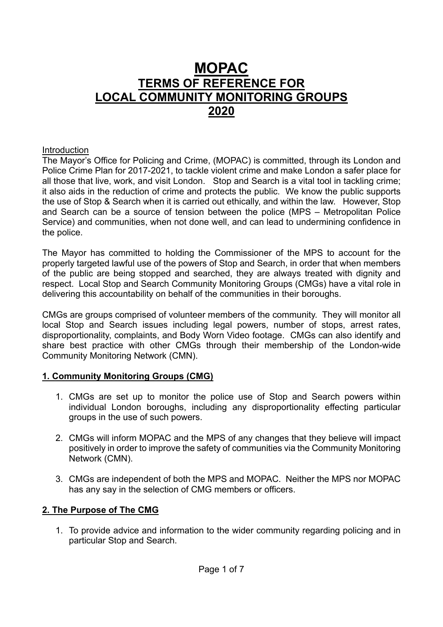# **MOPAC TERMS OF REFERENCE FOR LOCAL COMMUNITY MONITORING GROUPS 2020**

#### Introduction

The Mayor's Office for Policing and Crime, (MOPAC) is committed, through its London and Police Crime Plan for 2017-2021, to tackle violent crime and make London a safer place for all those that live, work, and visit London. Stop and Search is a vital tool in tackling crime; it also aids in the reduction of crime and protects the public. We know the public supports the use of Stop & Search when it is carried out ethically, and within the law. However, Stop and Search can be a source of tension between the police (MPS – Metropolitan Police Service) and communities, when not done well, and can lead to undermining confidence in the police.

The Mayor has committed to holding the Commissioner of the MPS to account for the properly targeted lawful use of the powers of Stop and Search, in order that when members of the public are being stopped and searched, they are always treated with dignity and respect. Local Stop and Search Community Monitoring Groups (CMGs) have a vital role in delivering this accountability on behalf of the communities in their boroughs.

CMGs are groups comprised of volunteer members of the community. They will monitor all local Stop and Search issues including legal powers, number of stops, arrest rates, disproportionality, complaints, and Body Worn Video footage. CMGs can also identify and share best practice with other CMGs through their membership of the London-wide Community Monitoring Network (CMN).

## **1. Community Monitoring Groups (CMG)**

- 1. CMGs are set up to monitor the police use of Stop and Search powers within individual London boroughs, including any disproportionality effecting particular groups in the use of such powers.
- 2. CMGs will inform MOPAC and the MPS of any changes that they believe will impact positively in order to improve the safety of communities via the Community Monitoring Network (CMN).
- 3. CMGs are independent of both the MPS and MOPAC. Neither the MPS nor MOPAC has any say in the selection of CMG members or officers.

## **2. The Purpose of The CMG**

1. To provide advice and information to the wider community regarding policing and in particular Stop and Search.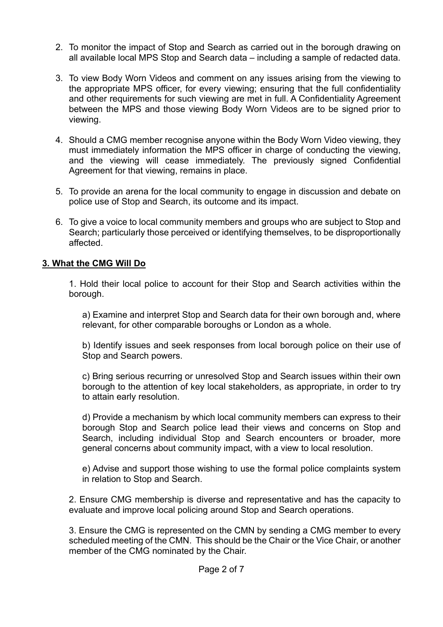- 2. To monitor the impact of Stop and Search as carried out in the borough drawing on all available local MPS Stop and Search data – including a sample of redacted data.
- 3. To view Body Worn Videos and comment on any issues arising from the viewing to the appropriate MPS officer, for every viewing; ensuring that the full confidentiality and other requirements for such viewing are met in full. A Confidentiality Agreement between the MPS and those viewing Body Worn Videos are to be signed prior to viewing.
- 4. Should a CMG member recognise anyone within the Body Worn Video viewing, they must immediately information the MPS officer in charge of conducting the viewing, and the viewing will cease immediately. The previously signed Confidential Agreement for that viewing, remains in place.
- 5. To provide an arena for the local community to engage in discussion and debate on police use of Stop and Search, its outcome and its impact.
- 6. To give a voice to local community members and groups who are subject to Stop and Search; particularly those perceived or identifying themselves, to be disproportionally affected.

## **3. What the CMG Will Do**

1. Hold their local police to account for their Stop and Search activities within the borough.

a) Examine and interpret Stop and Search data for their own borough and, where relevant, for other comparable boroughs or London as a whole.

b) Identify issues and seek responses from local borough police on their use of Stop and Search powers.

c) Bring serious recurring or unresolved Stop and Search issues within their own borough to the attention of key local stakeholders, as appropriate, in order to try to attain early resolution.

d) Provide a mechanism by which local community members can express to their borough Stop and Search police lead their views and concerns on Stop and Search, including individual Stop and Search encounters or broader, more general concerns about community impact, with a view to local resolution.

e) Advise and support those wishing to use the formal police complaints system in relation to Stop and Search.

2. Ensure CMG membership is diverse and representative and has the capacity to evaluate and improve local policing around Stop and Search operations.

3. Ensure the CMG is represented on the CMN by sending a CMG member to every scheduled meeting of the CMN. This should be the Chair or the Vice Chair, or another member of the CMG nominated by the Chair.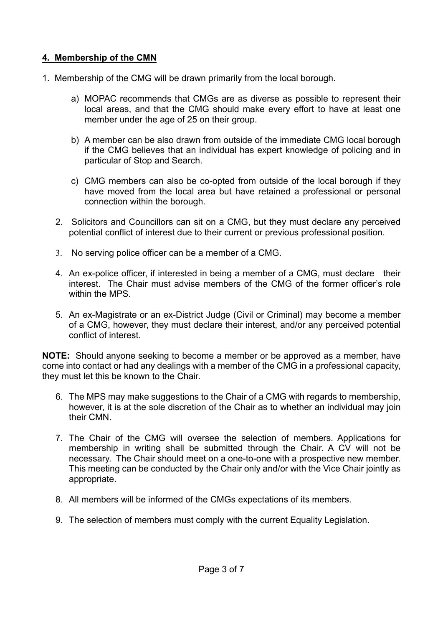# **4. Membership of the CMN**

- 1. Membership of the CMG will be drawn primarily from the local borough.
	- a) MOPAC recommends that CMGs are as diverse as possible to represent their local areas, and that the CMG should make every effort to have at least one member under the age of 25 on their group.
	- b) A member can be also drawn from outside of the immediate CMG local borough if the CMG believes that an individual has expert knowledge of policing and in particular of Stop and Search.
	- c) CMG members can also be co-opted from outside of the local borough if they have moved from the local area but have retained a professional or personal connection within the borough.
	- 2. Solicitors and Councillors can sit on a CMG, but they must declare any perceived potential conflict of interest due to their current or previous professional position.
	- 3. No serving police officer can be a member of a CMG.
	- 4. An ex-police officer, if interested in being a member of a CMG, must declare their interest. The Chair must advise members of the CMG of the former officer's role within the MPS
	- 5. An ex-Magistrate or an ex-District Judge (Civil or Criminal) may become a member of a CMG, however, they must declare their interest, and/or any perceived potential conflict of interest.

**NOTE:** Should anyone seeking to become a member or be approved as a member, have come into contact or had any dealings with a member of the CMG in a professional capacity, they must let this be known to the Chair.

- 6. The MPS may make suggestions to the Chair of a CMG with regards to membership, however, it is at the sole discretion of the Chair as to whether an individual may join their CMN.
- 7. The Chair of the CMG will oversee the selection of members. Applications for membership in writing shall be submitted through the Chair. A CV will not be necessary. The Chair should meet on a one-to-one with a prospective new member. This meeting can be conducted by the Chair only and/or with the Vice Chair jointly as appropriate.
- 8. All members will be informed of the CMGs expectations of its members.
- 9. The selection of members must comply with the current Equality Legislation.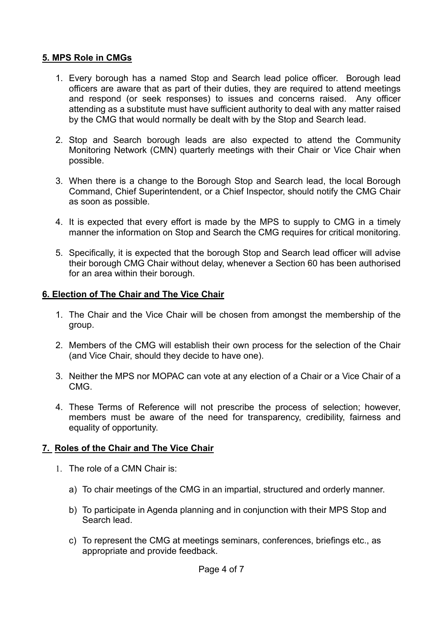# **5. MPS Role in CMGs**

- 1. Every borough has a named Stop and Search lead police officer. Borough lead officers are aware that as part of their duties, they are required to attend meetings and respond (or seek responses) to issues and concerns raised. Any officer attending as a substitute must have sufficient authority to deal with any matter raised by the CMG that would normally be dealt with by the Stop and Search lead.
- 2. Stop and Search borough leads are also expected to attend the Community Monitoring Network (CMN) quarterly meetings with their Chair or Vice Chair when possible.
- 3. When there is a change to the Borough Stop and Search lead, the local Borough Command, Chief Superintendent, or a Chief Inspector, should notify the CMG Chair as soon as possible.
- 4. It is expected that every effort is made by the MPS to supply to CMG in a timely manner the information on Stop and Search the CMG requires for critical monitoring.
- 5. Specifically, it is expected that the borough Stop and Search lead officer will advise their borough CMG Chair without delay, whenever a Section 60 has been authorised for an area within their borough.

## **6. Election of The Chair and The Vice Chair**

- 1. The Chair and the Vice Chair will be chosen from amongst the membership of the group.
- 2. Members of the CMG will establish their own process for the selection of the Chair (and Vice Chair, should they decide to have one).
- 3. Neither the MPS nor MOPAC can vote at any election of a Chair or a Vice Chair of a CMG.
- 4. These Terms of Reference will not prescribe the process of selection; however, members must be aware of the need for transparency, credibility, fairness and equality of opportunity.

## **7. Roles of the Chair and The Vice Chair**

- 1. The role of a CMN Chair is:
	- a) To chair meetings of the CMG in an impartial, structured and orderly manner.
	- b) To participate in Agenda planning and in conjunction with their MPS Stop and Search lead.
	- c) To represent the CMG at meetings seminars, conferences, briefings etc., as appropriate and provide feedback.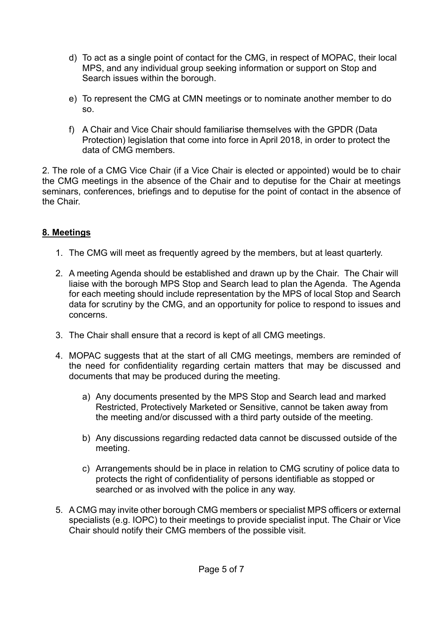- d) To act as a single point of contact for the CMG, in respect of MOPAC, their local MPS, and any individual group seeking information or support on Stop and Search issues within the borough.
- e) To represent the CMG at CMN meetings or to nominate another member to do so.
- f) A Chair and Vice Chair should familiarise themselves with the GPDR (Data Protection) legislation that come into force in April 2018, in order to protect the data of CMG members.

2. The role of a CMG Vice Chair (if a Vice Chair is elected or appointed) would be to chair the CMG meetings in the absence of the Chair and to deputise for the Chair at meetings seminars, conferences, briefings and to deputise for the point of contact in the absence of the Chair.

# **8. Meetings**

- 1. The CMG will meet as frequently agreed by the members, but at least quarterly.
- 2. A meeting Agenda should be established and drawn up by the Chair. The Chair will liaise with the borough MPS Stop and Search lead to plan the Agenda. The Agenda for each meeting should include representation by the MPS of local Stop and Search data for scrutiny by the CMG, and an opportunity for police to respond to issues and concerns.
- 3. The Chair shall ensure that a record is kept of all CMG meetings.
- 4. MOPAC suggests that at the start of all CMG meetings, members are reminded of the need for confidentiality regarding certain matters that may be discussed and documents that may be produced during the meeting.
	- a) Any documents presented by the MPS Stop and Search lead and marked Restricted, Protectively Marketed or Sensitive, cannot be taken away from the meeting and/or discussed with a third party outside of the meeting.
	- b) Any discussions regarding redacted data cannot be discussed outside of the meeting.
	- c) Arrangements should be in place in relation to CMG scrutiny of police data to protects the right of confidentiality of persons identifiable as stopped or searched or as involved with the police in any way.
- 5. A CMG may invite other borough CMG members or specialist MPS officers or external specialists (e.g. IOPC) to their meetings to provide specialist input. The Chair or Vice Chair should notify their CMG members of the possible visit.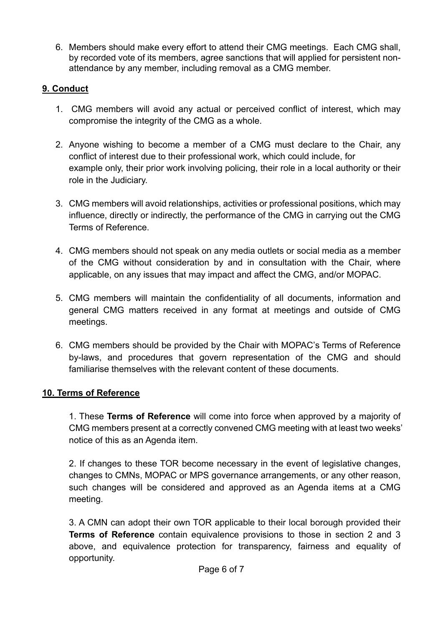6. Members should make every effort to attend their CMG meetings. Each CMG shall, by recorded vote of its members, agree sanctions that will applied for persistent nonattendance by any member, including removal as a CMG member.

# **9. Conduct**

- 1. CMG members will avoid any actual or perceived conflict of interest, which may compromise the integrity of the CMG as a whole.
- 2. Anyone wishing to become a member of a CMG must declare to the Chair, any conflict of interest due to their professional work, which could include, for example only, their prior work involving policing, their role in a local authority or their role in the Judiciary.
- 3. CMG members will avoid relationships, activities or professional positions, which may influence, directly or indirectly, the performance of the CMG in carrying out the CMG Terms of Reference.
- 4. CMG members should not speak on any media outlets or social media as a member of the CMG without consideration by and in consultation with the Chair, where applicable, on any issues that may impact and affect the CMG, and/or MOPAC.
- 5. CMG members will maintain the confidentiality of all documents, information and general CMG matters received in any format at meetings and outside of CMG meetings.
- 6. CMG members should be provided by the Chair with MOPAC's Terms of Reference by-laws, and procedures that govern representation of the CMG and should familiarise themselves with the relevant content of these documents.

# **10. Terms of Reference**

1. These **Terms of Reference** will come into force when approved by a majority of CMG members present at a correctly convened CMG meeting with at least two weeks' notice of this as an Agenda item.

2. If changes to these TOR become necessary in the event of legislative changes, changes to CMNs, MOPAC or MPS governance arrangements, or any other reason, such changes will be considered and approved as an Agenda items at a CMG meeting.

3. A CMN can adopt their own TOR applicable to their local borough provided their **Terms of Reference** contain equivalence provisions to those in section 2 and 3 above, and equivalence protection for transparency, fairness and equality of opportunity.